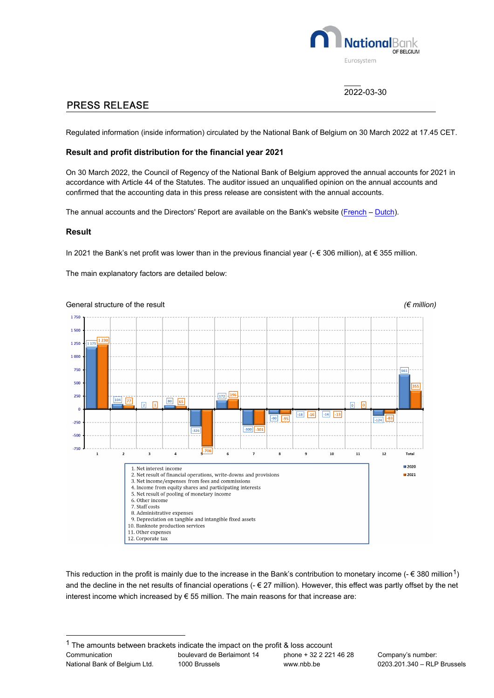

# 2022-03-30

# **PRESS RELEASE**

Regulated information (inside information) circulated by the National Bank of Belgium on 30 March 2022 at 17.45 CET.

### **Result and profit distribution for the financial year 2021**

On 30 March 2022, the Council of Regency of the National Bank of Belgium approved the annual accounts for 2021 in accordance with Article 44 of the Statutes. The auditor issued an unqualified opinion on the annual accounts and confirmed that the accounting data in this press release are consistent with the annual accounts.

The annual accounts and the Directors' Report are available on the Bank's website [\(French](https://www.nbb.be/doc/ts/publications/nbbreport/2021/fr/rapport_entreprise.pdf) - [Dutch\)](https://www.nbb.be/doc/ts/publications/nbbreport/2021/nl/ondernemingsverslag.pdf).

#### **Result**

In 2021 the Bank's net profit was lower than in the previous financial year (- € 306 million), at € 355 million.

The main explanatory factors are detailed below:



This reduction in the profit is mainly due to the increase in the Bank's contribution to monetary income  $(-\epsilon 380 \text{ million}^1)$  $(-\epsilon 380 \text{ million}^1)$ and the decline in the net results of financial operations  $(-E 27 \text{ million})$ . However, this effect was partly offset by the net interest income which increased by  $\epsilon$  55 million. The main reasons for that increase are:

<span id="page-0-0"></span>Communication National Bank of Belgium Ltd. boulevard de Berlaimont 14 1000 Brussels phone + 32 2 221 46 28 www.nbb.be  $1$  The amounts between brackets indicate the impact on the profit & loss account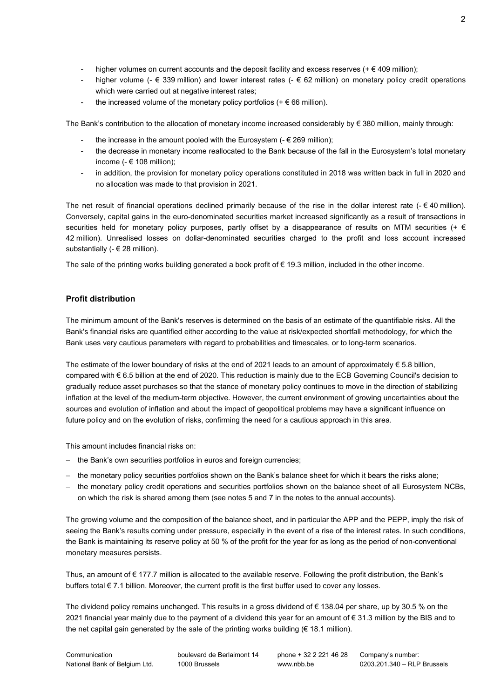- higher volumes on current accounts and the deposit facility and excess reserves ( $+\epsilon$  409 million);
- higher volume (-  $\epsilon$  339 million) and lower interest rates (-  $\epsilon$  62 million) on monetary policy credit operations which were carried out at negative interest rates;
- the increased volume of the monetary policy portfolios ( $+ \epsilon$  66 million).

The Bank's contribution to the allocation of monetary income increased considerably by € 380 million, mainly through:

- the increase in the amount pooled with the Eurosystem ( $-\epsilon$  269 million);
- the decrease in monetary income reallocated to the Bank because of the fall in the Eurosystem's total monetary income ( $\in$  108 million);
- in addition, the provision for monetary policy operations constituted in 2018 was written back in full in 2020 and no allocation was made to that provision in 2021.

The net result of financial operations declined primarily because of the rise in the dollar interest rate (- $\epsilon$ 40 million). Conversely, capital gains in the euro-denominated securities market increased significantly as a result of transactions in securities held for monetary policy purposes, partly offset by a disappearance of results on MTM securities (+  $\epsilon$ 42 million). Unrealised losses on dollar-denominated securities charged to the profit and loss account increased substantially (- € 28 million).

The sale of the printing works building generated a book profit of € 19.3 million, included in the other income.

### **Profit distribution**

The minimum amount of the Bank's reserves is determined on the basis of an estimate of the quantifiable risks. All the Bank's financial risks are quantified either according to the value at risk/expected shortfall methodology, for which the Bank uses very cautious parameters with regard to probabilities and timescales, or to long-term scenarios.

The estimate of the lower boundary of risks at the end of 2021 leads to an amount of approximately € 5.8 billion, compared with € 6.5 billion at the end of 2020. This reduction is mainly due to the ECB Governing Council's decision to gradually reduce asset purchases so that the stance of monetary policy continues to move in the direction of stabilizing inflation at the level of the medium-term objective. However, the current environment of growing uncertainties about the sources and evolution of inflation and about the impact of geopolitical problems may have a significant influence on future policy and on the evolution of risks, confirming the need for a cautious approach in this area.

This amount includes financial risks on:

- − the Bank's own securities portfolios in euros and foreign currencies;
- − the monetary policy securities portfolios shown on the Bank's balance sheet for which it bears the risks alone;
- − the monetary policy credit operations and securities portfolios shown on the balance sheet of all Eurosystem NCBs, on which the risk is shared among them (see notes 5 and 7 in the notes to the annual accounts).

The growing volume and the composition of the balance sheet, and in particular the APP and the PEPP, imply the risk of seeing the Bank's results coming under pressure, especially in the event of a rise of the interest rates. In such conditions, the Bank is maintaining its reserve policy at 50 % of the profit for the year for as long as the period of non-conventional monetary measures persists.

Thus, an amount of € 177.7 million is allocated to the available reserve. Following the profit distribution, the Bank's buffers total  $\epsilon$  7.1 billion. Moreover, the current profit is the first buffer used to cover any losses.

The dividend policy remains unchanged. This results in a gross dividend of € 138.04 per share, up by 30.5 % on the 2021 financial year mainly due to the payment of a dividend this year for an amount of € 31.3 million by the BIS and to the net capital gain generated by the sale of the printing works building ( $\epsilon$  18.1 million).

boulevard de Berlaimont 14 1000 Brussels

phone + 32 2 221 46 28 www.nbb.be